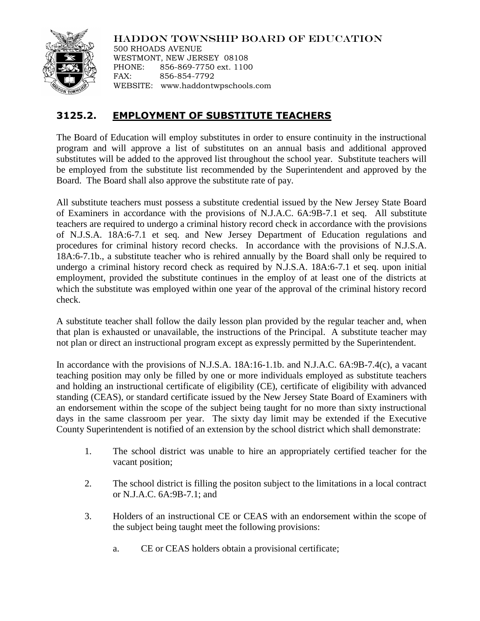

HADDON TOWNSHIP BOARD OF EDUCATION

500 RHOADS AVENUE WESTMONT, NEW JERSEY 08108 PHONE: 856-869-7750 ext. 1100 FAX: 856-854-7792 WEBSITE: www.haddontwpschools.com

## **3125.2. EMPLOYMENT OF SUBSTITUTE TEACHERS**

The Board of Education will employ substitutes in order to ensure continuity in the instructional program and will approve a list of substitutes on an annual basis and additional approved substitutes will be added to the approved list throughout the school year. Substitute teachers will be employed from the substitute list recommended by the Superintendent and approved by the Board. The Board shall also approve the substitute rate of pay.

All substitute teachers must possess a substitute credential issued by the New Jersey State Board of Examiners in accordance with the provisions of N.J.A.C. 6A:9B-7.1 et seq. All substitute teachers are required to undergo a criminal history record check in accordance with the provisions of N.J.S.A. 18A:6-7.1 et seq. and New Jersey Department of Education regulations and procedures for criminal history record checks. In accordance with the provisions of N.J.S.A. 18A:6-7.1b., a substitute teacher who is rehired annually by the Board shall only be required to undergo a criminal history record check as required by N.J.S.A. 18A:6-7.1 et seq. upon initial employment, provided the substitute continues in the employ of at least one of the districts at which the substitute was employed within one year of the approval of the criminal history record check.

A substitute teacher shall follow the daily lesson plan provided by the regular teacher and, when that plan is exhausted or unavailable, the instructions of the Principal. A substitute teacher may not plan or direct an instructional program except as expressly permitted by the Superintendent.

In accordance with the provisions of N.J.S.A. 18A:16-1.1b. and N.J.A.C. 6A:9B-7.4(c), a vacant teaching position may only be filled by one or more individuals employed as substitute teachers and holding an instructional certificate of eligibility (CE), certificate of eligibility with advanced standing (CEAS), or standard certificate issued by the New Jersey State Board of Examiners with an endorsement within the scope of the subject being taught for no more than sixty instructional days in the same classroom per year. The sixty day limit may be extended if the Executive County Superintendent is notified of an extension by the school district which shall demonstrate:

- 1. The school district was unable to hire an appropriately certified teacher for the vacant position;
- 2. The school district is filling the positon subject to the limitations in a local contract or N.J.A.C. 6A:9B-7.1; and
- 3. Holders of an instructional CE or CEAS with an endorsement within the scope of the subject being taught meet the following provisions:
	- a. CE or CEAS holders obtain a provisional certificate;